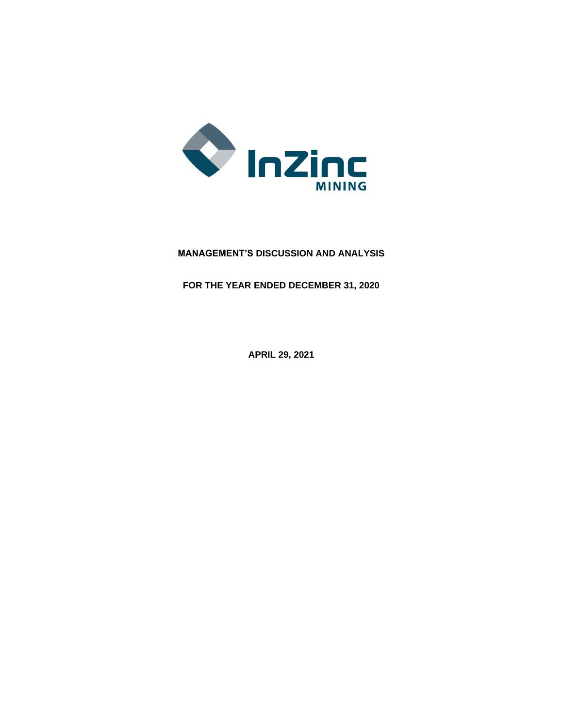

# **MANAGEMENT'S DISCUSSION AND ANALYSIS**

**FOR THE YEAR ENDED DECEMBER 31, 2020**

**APRIL 29, 2021**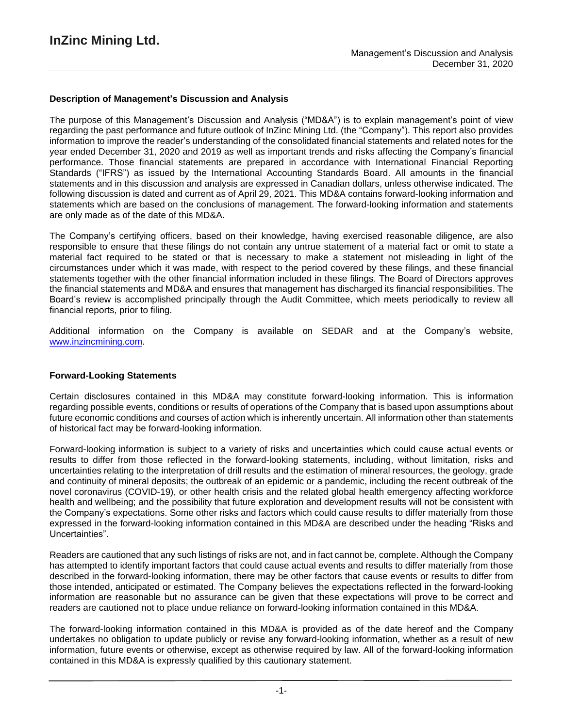### **Description of Management's Discussion and Analysis**

The purpose of this Management's Discussion and Analysis ("MD&A") is to explain management's point of view regarding the past performance and future outlook of InZinc Mining Ltd. (the "Company"). This report also provides information to improve the reader's understanding of the consolidated financial statements and related notes for the year ended December 31, 2020 and 2019 as well as important trends and risks affecting the Company's financial performance. Those financial statements are prepared in accordance with International Financial Reporting Standards ("IFRS") as issued by the International Accounting Standards Board. All amounts in the financial statements and in this discussion and analysis are expressed in Canadian dollars, unless otherwise indicated. The following discussion is dated and current as of April 29, 2021. This MD&A contains forward-looking information and statements which are based on the conclusions of management. The forward-looking information and statements are only made as of the date of this MD&A.

The Company's certifying officers, based on their knowledge, having exercised reasonable diligence, are also responsible to ensure that these filings do not contain any untrue statement of a material fact or omit to state a material fact required to be stated or that is necessary to make a statement not misleading in light of the circumstances under which it was made, with respect to the period covered by these filings, and these financial statements together with the other financial information included in these filings. The Board of Directors approves the financial statements and MD&A and ensures that management has discharged its financial responsibilities. The Board's review is accomplished principally through the Audit Committee, which meets periodically to review all financial reports, prior to filing.

Additional information on the Company is available on SEDAR and at the Company's website, www.inzincmining.com.

#### **Forward-Looking Statements**

Certain disclosures contained in this MD&A may constitute forward-looking information. This is information regarding possible events, conditions or results of operations of the Company that is based upon assumptions about future economic conditions and courses of action which is inherently uncertain. All information other than statements of historical fact may be forward-looking information.

Forward-looking information is subject to a variety of risks and uncertainties which could cause actual events or results to differ from those reflected in the forward-looking statements, including, without limitation, risks and uncertainties relating to the interpretation of drill results and the estimation of mineral resources, the geology, grade and continuity of mineral deposits; the outbreak of an epidemic or a pandemic, including the recent outbreak of the novel coronavirus (COVID-19), or other health crisis and the related global health emergency affecting workforce health and wellbeing; and the possibility that future exploration and development results will not be consistent with the Company's expectations. Some other risks and factors which could cause results to differ materially from those expressed in the forward-looking information contained in this MD&A are described under the heading "Risks and Uncertainties".

Readers are cautioned that any such listings of risks are not, and in fact cannot be, complete. Although the Company has attempted to identify important factors that could cause actual events and results to differ materially from those described in the forward-looking information, there may be other factors that cause events or results to differ from those intended, anticipated or estimated. The Company believes the expectations reflected in the forward-looking information are reasonable but no assurance can be given that these expectations will prove to be correct and readers are cautioned not to place undue reliance on forward-looking information contained in this MD&A.

The forward-looking information contained in this MD&A is provided as of the date hereof and the Company undertakes no obligation to update publicly or revise any forward-looking information, whether as a result of new information, future events or otherwise, except as otherwise required by law. All of the forward-looking information contained in this MD&A is expressly qualified by this cautionary statement.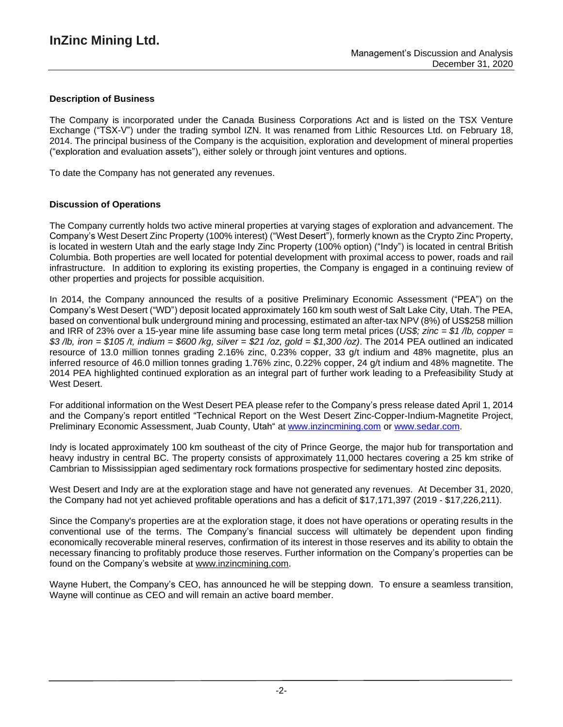### **Description of Business**

The Company is incorporated under the Canada Business Corporations Act and is listed on the TSX Venture Exchange ("TSX-V") under the trading symbol IZN. It was renamed from Lithic Resources Ltd. on February 18, 2014. The principal business of the Company is the acquisition, exploration and development of mineral properties ("exploration and evaluation assets"), either solely or through joint ventures and options.

To date the Company has not generated any revenues.

### **Discussion of Operations**

The Company currently holds two active mineral properties at varying stages of exploration and advancement. The Company's West Desert Zinc Property (100% interest) ("West Desert"), formerly known as the Crypto Zinc Property, is located in western Utah and the early stage Indy Zinc Property (100% option) ("Indy") is located in central British Columbia. Both properties are well located for potential development with proximal access to power, roads and rail infrastructure. In addition to exploring its existing properties, the Company is engaged in a continuing review of other properties and projects for possible acquisition.

In 2014, the Company announced the results of a positive Preliminary Economic Assessment ("PEA") on the Company's West Desert ("WD") deposit located approximately 160 km south west of Salt Lake City, Utah. The PEA, based on conventional bulk underground mining and processing, estimated an after-tax NPV (8%) of US\$258 million and IRR of 23% over a 15-year mine life assuming base case long term metal prices (*US\$; zinc = \$1 /lb, copper =* \$3/lb, iron = \$105/t, indium = \$600/kg, silver = \$21/oz, gold = \$1,300/oz). The 2014 PEA outlined an indicated resource of 13.0 million tonnes grading 2.16% zinc, 0.23% copper, 33 g/t indium and 48% magnetite, plus an inferred resource of 46.0 million tonnes grading 1.76% zinc, 0.22% copper, 24 g/t indium and 48% magnetite. The 2014 PEA highlighted continued exploration as an integral part of further work leading to a Prefeasibility Study at West Desert.

For additional information on the West Desert PEA please refer to the Company's press release dated April 1, 2014 and the Company's report entitled "Technical Report on the West Desert Zinc-Copper-Indium-Magnetite Project, Preliminary Economic Assessment, Juab County, Utah" at [www.inzincmining.com](http://www.inzincmining.com/) or [www.sedar.com.](http://www.sedar.com/)

Indy is located approximately 100 km southeast of the city of Prince George, the major hub for transportation and heavy industry in central BC. The property consists of approximately 11,000 hectares covering a 25 km strike of Cambrian to Mississippian aged sedimentary rock formations prospective for sedimentary hosted zinc deposits.

West Desert and Indy are at the exploration stage and have not generated any revenues. At December 31, 2020, the Company had not yet achieved profitable operations and has a deficit of \$17,171,397 (2019 - \$17,226,211).

Since the Company's properties are at the exploration stage, it does not have operations or operating results in the conventional use of the terms. The Company's financial success will ultimately be dependent upon finding economically recoverable mineral reserves, confirmation of its interest in those reserves and its ability to obtain the necessary financing to profitably produce those reserves. Further information on the Company's properties can be found on the Company's website at [www.inzincmining.com.](http://www.inzincmining.com/)

Wayne Hubert, the Company's CEO, has announced he will be stepping down. To ensure a seamless transition, Wayne will continue as CEO and will remain an active board member.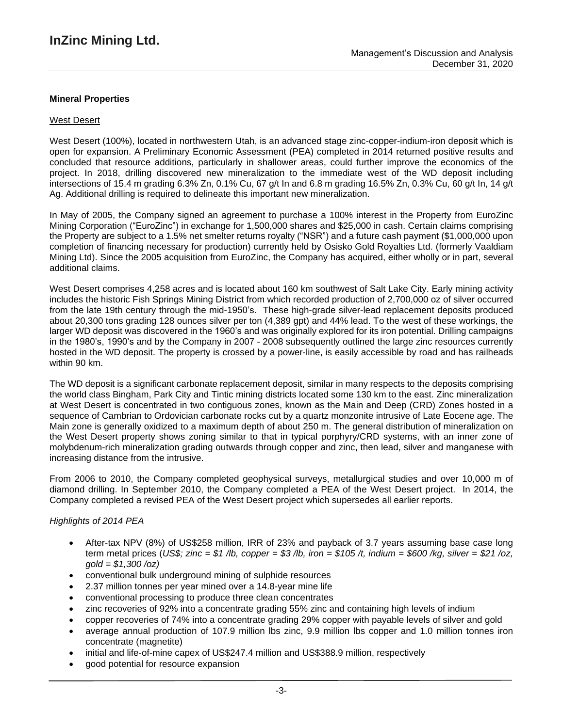### **Mineral Properties**

#### West Desert

West Desert (100%), located in northwestern Utah, is an advanced stage zinc-copper-indium-iron deposit which is open for expansion. A Preliminary Economic Assessment (PEA) completed in 2014 returned positive results and concluded that resource additions, particularly in shallower areas, could further improve the economics of the project. In 2018, drilling discovered new mineralization to the immediate west of the WD deposit including intersections of 15.4 m grading 6.3% Zn, 0.1% Cu, 67 g/t In and 6.8 m grading 16.5% Zn, 0.3% Cu, 60 g/t In, 14 g/t Ag. Additional drilling is required to delineate this important new mineralization.

In May of 2005, the Company signed an agreement to purchase a 100% interest in the Property from EuroZinc Mining Corporation ("EuroZinc") in exchange for 1,500,000 shares and \$25,000 in cash. Certain claims comprising the Property are subject to a 1.5% net smelter returns royalty ("NSR") and a future cash payment (\$1,000,000 upon completion of financing necessary for production) currently held by Osisko Gold Royalties Ltd. (formerly Vaaldiam Mining Ltd). Since the 2005 acquisition from EuroZinc, the Company has acquired, either wholly or in part, several additional claims.

West Desert comprises 4,258 acres and is located about 160 km southwest of Salt Lake City. Early mining activity includes the historic Fish Springs Mining District from which recorded production of 2,700,000 oz of silver occurred from the late 19th century through the mid-1950's. These high-grade silver-lead replacement deposits produced about 20,300 tons grading 128 ounces silver per ton (4,389 gpt) and 44% lead. To the west of these workings, the larger WD deposit was discovered in the 1960's and was originally explored for its iron potential. Drilling campaigns in the 1980's, 1990's and by the Company in 2007 - 2008 subsequently outlined the large zinc resources currently hosted in the WD deposit. The property is crossed by a power-line, is easily accessible by road and has railheads within 90 km.

The WD deposit is a significant carbonate replacement deposit, similar in many respects to the deposits comprising the world class Bingham, Park City and Tintic mining districts located some 130 km to the east. Zinc mineralization at West Desert is concentrated in two contiguous zones, known as the Main and Deep (CRD) Zones hosted in a sequence of Cambrian to Ordovician carbonate rocks cut by a quartz monzonite intrusive of Late Eocene age. The Main zone is generally oxidized to a maximum depth of about 250 m. The general distribution of mineralization on the West Desert property shows zoning similar to that in typical porphyry/CRD systems, with an inner zone of molybdenum-rich mineralization grading outwards through copper and zinc, then lead, silver and manganese with increasing distance from the intrusive.

From 2006 to 2010, the Company completed geophysical surveys, metallurgical studies and over 10,000 m of diamond drilling. In September 2010, the Company completed a PEA of the West Desert project. In 2014, the Company completed a revised PEA of the West Desert project which supersedes all earlier reports.

#### *Highlights of 2014 PEA*

- After-tax NPV (8%) of US\$258 million, IRR of 23% and payback of 3.7 years assuming base case long term metal prices (US\$; zinc = \$1 /b, copper = \$3 /b, iron = \$105 /t, indium = \$600 /kg, silver = \$21 /oz, *gold = \$1,300 /oz)*
- conventional bulk underground mining of sulphide resources
- 2.37 million tonnes per year mined over a 14.8-year mine life
- conventional processing to produce three clean concentrates
- zinc recoveries of 92% into a concentrate grading 55% zinc and containing high levels of indium
- copper recoveries of 74% into a concentrate grading 29% copper with payable levels of silver and gold
- average annual production of 107.9 million lbs zinc, 9.9 million lbs copper and 1.0 million tonnes iron concentrate (magnetite)
- initial and life-of-mine capex of US\$247.4 million and US\$388.9 million, respectively
- good potential for resource expansion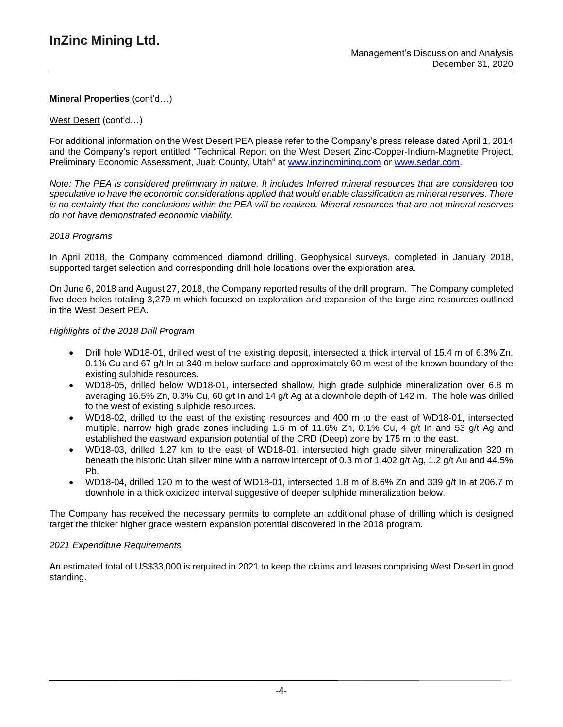### West Desert (cont'd…)

For additional information on the West Desert PEA please refer to the Company's press release dated April 1, 2014 and the Company's report entitled "Technical Report on the West Desert Zinc-Copper-Indium-Magnetite Project, Preliminary Economic Assessment, Juab County, Utah" at [www.inzincmining.com](http://www.inzincmining.com/) or [www.sedar.com.](http://www.sedar.com/)

Note: The PEA is considered preliminary in nature. It includes Inferred mineral resources that are considered too *speculative to have the economic considerations applied that would enable classification as mineral reserves. There* is no certainty that the conclusions within the PEA will be realized. Mineral resources that are not mineral reserves *do not have demonstrated economic viability.*

### *2018 Programs*

In April 2018, the Company commenced diamond drilling. Geophysical surveys, completed in January 2018, supported target selection and corresponding drill hole locations over the exploration area.

On June 6, 2018 and August 27, 2018, the Company reported results of the drill program. The Company completed five deep holes totaling 3,279 m which focused on exploration and expansion of the large zinc resources outlined in the West Desert PEA.

### *Highlights of the 2018 Drill Program*

- Drill hole WD18-01, drilled west of the existing deposit, intersected a thick interval of 15.4 m of 6.3% Zn, 0.1% Cu and 67 g/t In at 340 m below surface and approximately 60 m west of the known boundary of the existing sulphide resources.
- WD18-05, drilled below WD18-01, intersected shallow, high grade sulphide mineralization over 6.8 m averaging 16.5% Zn, 0.3% Cu, 60 g/t In and 14 g/t Ag at a downhole depth of 142 m. The hole was drilled to the west of existing sulphide resources.
- WD18-02, drilled to the east of the existing resources and 400 m to the east of WD18-01, intersected multiple, narrow high grade zones including 1.5 m of 11.6% Zn, 0.1% Cu, 4 g/t In and 53 g/t Ag and established the eastward expansion potential of the CRD (Deep) zone by 175 m to the east.
- WD18-03, drilled 1.27 km to the east of WD18-01, intersected high grade silver mineralization 320 m beneath the historic Utah silver mine with a narrow intercept of 0.3 m of 1,402 g/t Ag, 1.2 g/t Au and 44.5% Pb.
- WD18-04, drilled 120 m to the west of WD18-01, intersected 1.8 m of 8.6% Zn and 339  $\alpha/t$  In at 206.7 m downhole in a thick oxidized interval suggestive of deeper sulphide mineralization below.

The Company has received the necessary permits to complete an additional phase of drilling which is designed target the thicker higher grade western expansion potential discovered in the 2018 program.

#### *2021 Expenditure Requirements*

An estimated total of US\$33,000 is required in 2021 to keep the claims and leases comprising West Desert in good standing.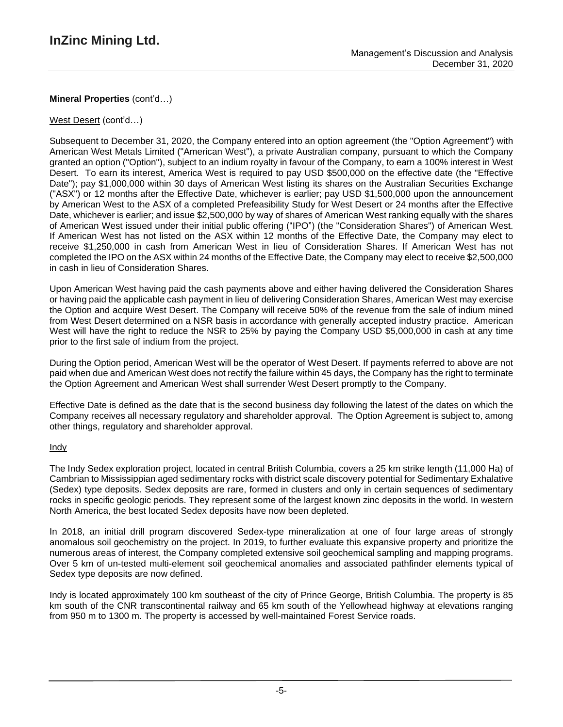### West Desert (cont'd…)

Subsequent to December 31, 2020, the Company entered into an option agreement (the "Option Agreement") with American West Metals Limited ("American West"), a private Australian company, pursuant to which the Company granted an option ("Option"), subject to an indium royalty in favour of the Company, to earn a 100% interest in West Desert. To earn its interest, America West is required to pay USD \$500,000 on the effective date (the "Effective Date"); pay \$1,000,000 within 30 days of American West listing its shares on the Australian Securities Exchange ("ASX") or 12 months after the Effective Date, whichever is earlier; pay USD \$1,500,000 upon the announcement by American West to the ASX of a completed Prefeasibility Study for West Desert or 24 months after the Effective Date, whichever is earlier; and issue \$2,500,000 by way of shares of American West ranking equally with the shares of American West issued under their initial public offering ("IPO") (the "Consideration Shares") of American West. If American West has not listed on the ASX within 12 months of the Effective Date, the Company may elect to receive \$1,250,000 in cash from American West in lieu of Consideration Shares. If American West has not completed the IPO on the ASX within 24 months of the Effective Date, the Company may elect to receive \$2,500,000 in cash in lieu of Consideration Shares.

Upon American West having paid the cash payments above and either having delivered the Consideration Shares or having paid the applicable cash payment in lieu of delivering Consideration Shares, American West may exercise the Option and acquire West Desert. The Company will receive 50% of the revenue from the sale of indium mined from West Desert determined on a NSR basis in accordance with generally accepted industry practice. American West will have the right to reduce the NSR to 25% by paying the Company USD \$5,000,000 in cash at any time prior to the first sale of indium from the project.

During the Option period, American West will be the operator of West Desert. If payments referred to above are not paid when due and American West does not rectify the failure within 45 days, the Company has the right to terminate the Option Agreement and American West shall surrender West Desert promptly to the Company.

Effective Date is defined as the date that is the second business day following the latest of the dates on which the Company receives all necessary regulatory and shareholder approval. The Option Agreement is subject to, among other things, regulatory and shareholder approval.

### Indy

The Indy Sedex exploration project, located in central British Columbia, covers a 25 km strike length (11,000 Ha) of Cambrian to Mississippian aged sedimentary rocks with district scale discovery potential for Sedimentary Exhalative (Sedex) type deposits. Sedex deposits are rare, formed in clusters and only in certain sequences of sedimentary rocks in specific geologic periods. They represent some of the largest known zinc deposits in the world. In western North America, the best located Sedex deposits have now been depleted.

In 2018, an initial drill program discovered Sedex-type mineralization at one of four large areas of strongly anomalous soil geochemistry on the project. In 2019, to further evaluate this expansive property and prioritize the numerous areas of interest, the Company completed extensive soil geochemical sampling and mapping programs. Over 5 km of un-tested multi-element soil geochemical anomalies and associated pathfinder elements typical of Sedex type deposits are now defined.

Indy is located approximately 100 km southeast of the city of Prince George, British Columbia. The property is 85 km south of the CNR transcontinental railway and 65 km south of the Yellowhead highway at elevations ranging from 950 m to 1300 m. The property is accessed by well-maintained Forest Service roads.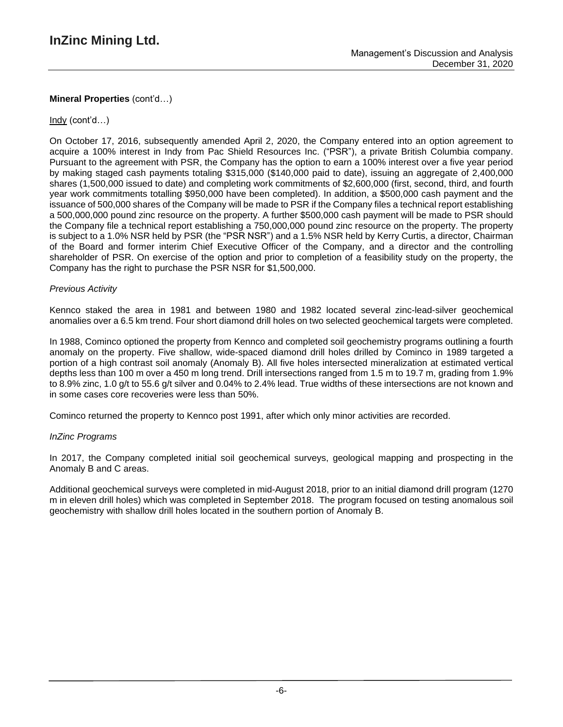### Indy (cont'd…)

On October 17, 2016, subsequently amended April 2, 2020, the Company entered into an option agreement to acquire a 100% interest in Indy from Pac Shield Resources Inc. ("PSR"), a private British Columbia company. Pursuant to the agreement with PSR, the Company has the option to earn a 100% interest over a five year period by making staged cash payments totaling \$315,000 (\$140,000 paid to date), issuing an aggregate of 2,400,000 shares (1,500,000 issued to date) and completing work commitments of \$2,600,000 (first, second, third, and fourth year work commitments totalling \$950,000 have been completed). In addition, a \$500,000 cash payment and the issuance of 500,000 shares of the Company will be made to PSR if the Company files a technical report establishing a 500,000,000 pound zinc resource on the property. A further \$500,000 cash payment will be made to PSR should the Company file a technical report establishing a 750,000,000 pound zinc resource on the property. The property is subject to a 1.0% NSR held by PSR (the "PSR NSR") and a 1.5% NSR held by Kerry Curtis, a director, Chairman of the Board and former interim Chief Executive Officer of the Company, and a director and the controlling shareholder of PSR. On exercise of the option and prior to completion of a feasibility study on the property, the Company has the right to purchase the PSR NSR for \$1,500,000.

### *Previous Activity*

Kennco staked the area in 1981 and between 1980 and 1982 located several zinc-lead-silver geochemical anomalies over a 6.5 km trend. Four short diamond drill holes on two selected geochemical targets were completed.

In 1988, Cominco optioned the property from Kennco and completed soil geochemistry programs outlining a fourth anomaly on the property. Five shallow, wide-spaced diamond drill holes drilled by Cominco in 1989 targeted a portion of a high contrast soil anomaly (Anomaly B). All five holes intersected mineralization at estimated vertical depths less than 100 m over a 450 m long trend. Drill intersections ranged from 1.5 m to 19.7 m, grading from 1.9% to 8.9% zinc, 1.0 g/t to 55.6 g/t silver and 0.04% to 2.4% lead. True widths of these intersections are not known and in some cases core recoveries were less than 50%.

Cominco returned the property to Kennco post 1991, after which only minor activities are recorded.

### *InZinc Programs*

In 2017, the Company completed initial soil geochemical surveys, geological mapping and prospecting in the Anomaly B and C areas.

Additional geochemical surveys were completed in mid-August 2018, prior to an initial diamond drill program (1270 m in eleven drill holes) which was completed in September 2018. The program focused on testing anomalous soil geochemistry with shallow drill holes located in the southern portion of Anomaly B.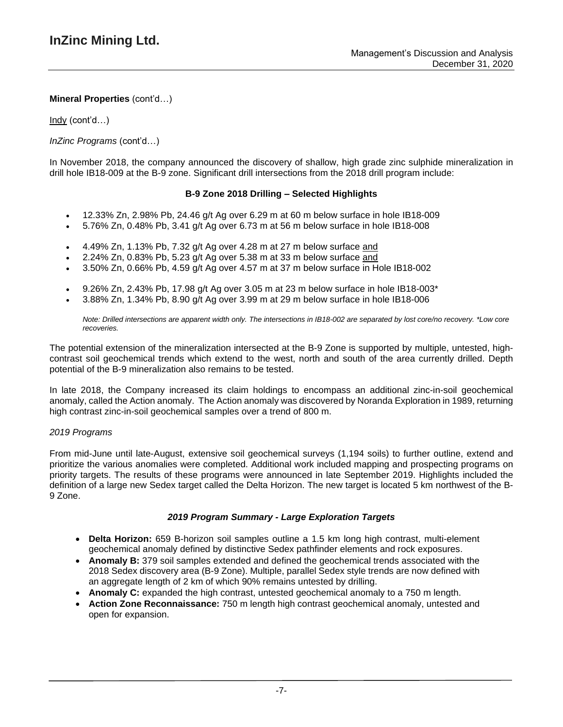Indy (cont'd…)

### *InZinc Programs* (cont'd…)

In November 2018, the company announced the discovery of shallow, high grade zinc sulphide mineralization in drill hole IB18-009 at the B-9 zone. Significant drill intersections from the 2018 drill program include:

### **B-9 Zone 2018 Drilling – Selected Highlights**

- 12.33% Zn, 2.98% Pb, 24.46 g/t Ag over 6.29 m at 60 m below surface in hole IB18-009
- 5.76% Zn, 0.48% Pb, 3.41 g/t Ag over 6.73 m at 56 m below surface in hole IB18-008
- 4.49% Zn, 1.13% Pb, 7.32 g/t Ag over 4.28 m at 27 m below surface and
- 2.24% Zn, 0.83% Pb, 5.23 g/t Ag over 5.38 m at 33 m below surface and
- 3.50% Zn, 0.66% Pb, 4.59 g/t Ag over 4.57 m at 37 m below surface in Hole IB18-002
- 9.26% Zn, 2.43% Pb, 17.98 g/t Ag over 3.05 m at 23 m below surface in hole IB18-003\*
- 3.88% Zn, 1.34% Pb, 8.90 g/t Ag over 3.99 m at 29 m below surface in hole IB18-006

Note: Drilled intersections are apparent width only. The intersections in IB18-002 are separated by lost core/no recovery. \*Low core *recoveries.*

The potential extension of the mineralization intersected at the B-9 Zone is supported by multiple, untested, highcontrast soil geochemical trends which extend to the west, north and south of the area currently drilled. Depth potential of the B-9 mineralization also remains to be tested.

In late 2018, the Company increased its claim holdings to encompass an additional zinc-in-soil geochemical anomaly, called the Action anomaly. The Action anomaly was discovered by Noranda Exploration in 1989, returning high contrast zinc-in-soil geochemical samples over a trend of 800 m.

### *2019 Programs*

From mid-June until late-August, extensive soil geochemical surveys (1,194 soils) to further outline, extend and prioritize the various anomalies were completed. Additional work included mapping and prospecting programs on priority targets. The results of these programs were announced in late September 2019. Highlights included the definition of a large new Sedex target called the Delta Horizon. The new target is located 5 km northwest of the B-9 Zone.

### *2019 Program Summary - Large Exploration Targets*

- **Delta Horizon:** 659 B-horizon soil samples outline a 1.5 km long high contrast, multi-element geochemical anomaly defined by distinctive Sedex pathfinder elements and rock exposures.
- **Anomaly B:** 379 soil samples extended and defined the geochemical trends associated with the 2018 Sedex discovery area (B-9 Zone). Multiple, parallel Sedex style trends are now defined with an aggregate length of 2 km of which 90% remains untested by drilling.
- **Anomaly C:** expanded the high contrast, untested geochemical anomaly to a 750 m length.
- **Action Zone Reconnaissance:** 750 m length high contrast geochemical anomaly, untested and open for expansion.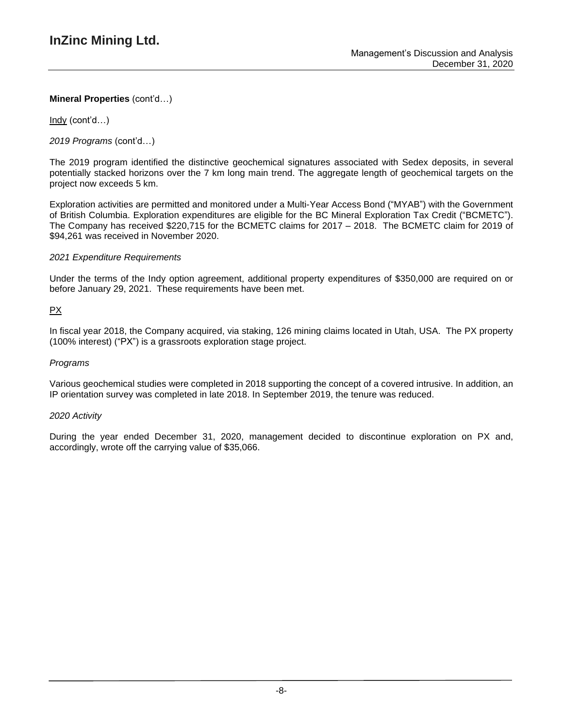Indy (cont'd…)

*2019 Programs* (cont'd…)

The 2019 program identified the distinctive geochemical signatures associated with Sedex deposits, in several potentially stacked horizons over the 7 km long main trend. The aggregate length of geochemical targets on the project now exceeds 5 km.

Exploration activities are permitted and monitored under a Multi-Year Access Bond ("MYAB") with the Government of British Columbia. Exploration expenditures are eligible for the BC Mineral Exploration Tax Credit ("BCMETC"). The Company has received \$220,715 for the BCMETC claims for 2017 – 2018. The BCMETC claim for 2019 of \$94,261 was received in November 2020.

### *2021 Expenditure Requirements*

Under the terms of the Indy option agreement, additional property expenditures of \$350,000 are required on or before January 29, 2021. These requirements have been met.

### PX

In fiscal year 2018, the Company acquired, via staking, 126 mining claims located in Utah, USA. The PX property (100% interest) ("PX") is a grassroots exploration stage project.

### *Programs*

Various geochemical studies were completed in 2018 supporting the concept of a covered intrusive. In addition, an IP orientation survey was completed in late 2018. In September 2019, the tenure was reduced.

#### *2020 Activity*

During the year ended December 31, 2020, management decided to discontinue exploration on PX and, accordingly, wrote off the carrying value of \$35,066.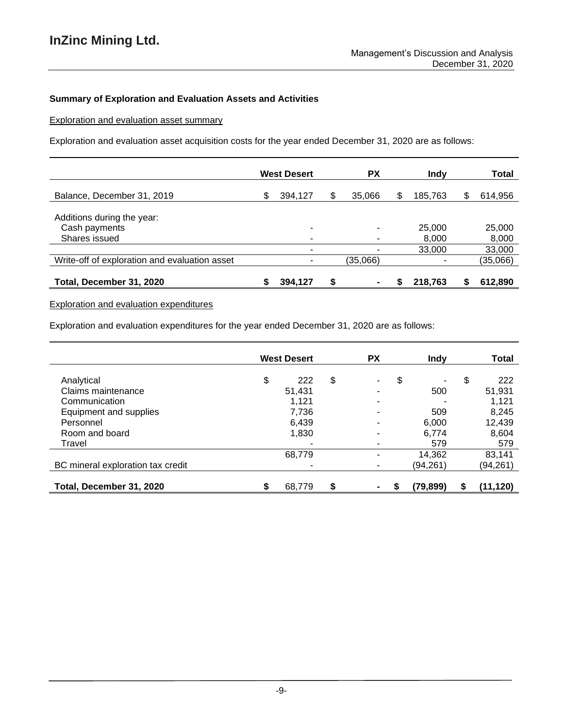### **Summary of Exploration and Evaluation Assets and Activities**

Exploration and evaluation asset summary

Exploration and evaluation asset acquisition costs for the year ended December 31, 2020 are as follows:

|                                               |   | <b>West Desert</b> | <b>PX</b>      |   | Indy    |   | <b>Total</b> |
|-----------------------------------------------|---|--------------------|----------------|---|---------|---|--------------|
| Balance, December 31, 2019                    | S | 394,127            | \$<br>35,066   | S | 185,763 | S | 614,956      |
| Additions during the year:<br>Cash payments   |   | ۰                  | ۰              |   | 25,000  |   | 25,000       |
| Shares issued                                 |   |                    |                |   | 8,000   |   | 8,000        |
|                                               |   |                    |                |   | 33,000  |   | 33,000       |
| Write-off of exploration and evaluation asset |   |                    | (35,066)       |   |         |   | (35,066)     |
| Total, December 31, 2020                      | S | 394,127            | $\blacksquare$ |   | 218.763 | S | 612,890      |

Exploration and evaluation expenditures

Exploration and evaluation expenditures for the year ended December 31, 2020 are as follows:

|                                   |    | <b>West Desert</b> | <b>PX</b>                | <b>Indy</b> |    | <b>Total</b> |
|-----------------------------------|----|--------------------|--------------------------|-------------|----|--------------|
| Analytical                        | \$ | 222                | \$<br>٠.                 | \$<br>۰     | \$ | 222          |
| Claims maintenance                |    | 51,431             | ۰                        | 500         |    | 51,931       |
| Communication                     |    | 1,121              | $\overline{\phantom{a}}$ |             |    | 1,121        |
| Equipment and supplies            |    | 7,736              | ۰                        | 509         |    | 8,245        |
| Personnel                         |    | 6,439              | ۰                        | 6.000       |    | 12,439       |
| Room and board                    |    | 1,830              |                          | 6.774       |    | 8,604        |
| Travel                            |    |                    | ۰                        | 579         |    | 579          |
|                                   |    | 68,779             |                          | 14,362      |    | 83,141       |
| BC mineral exploration tax credit |    |                    | ۰                        | (94,261)    |    | (94,261)     |
|                                   |    |                    |                          |             |    |              |
| Total, December 31, 2020          | S  | 68,779             | $\blacksquare$           | (79, 899)   | S  | (11,120)     |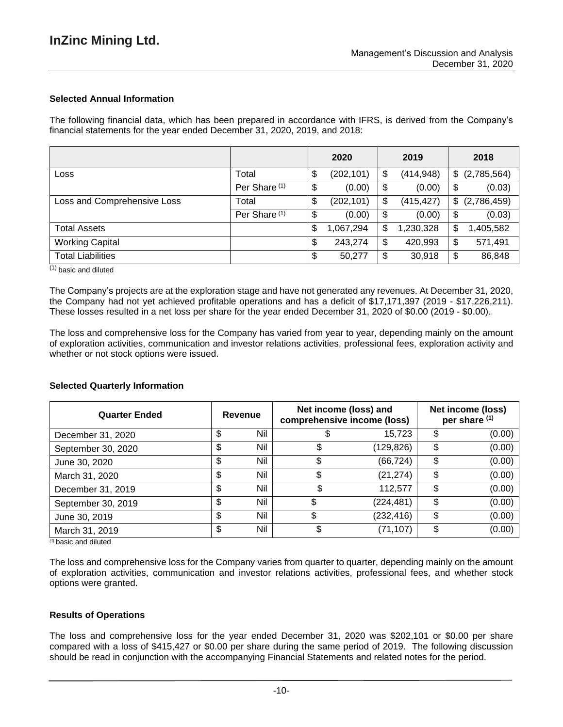### **Selected Annual Information**

The following financial data, which has been prepared in accordance with IFRS, is derived from the Company's financial statements for the year ended December 31, 2020, 2019, and 2018:

|                             |                          | 2020             | 2019             | 2018              |
|-----------------------------|--------------------------|------------------|------------------|-------------------|
| Loss                        | Total                    | \$<br>(202, 101) | \$<br>(414, 948) | \$<br>(2,785,564) |
|                             | Per Share <sup>(1)</sup> | \$<br>(0.00)     | \$<br>(0.00)     | \$<br>(0.03)      |
| Loss and Comprehensive Loss | Total                    | \$<br>(202, 101) | \$<br>(415, 427) | \$<br>(2,786,459) |
|                             | Per Share <sup>(1)</sup> | \$<br>(0.00)     | \$<br>(0.00)     | \$<br>(0.03)      |
| <b>Total Assets</b>         |                          | \$<br>1,067,294  | \$<br>1,230,328  | \$<br>1,405,582   |
| <b>Working Capital</b>      |                          | \$<br>243,274    | \$<br>420,993    | \$<br>571,491     |
| <b>Total Liabilities</b>    |                          | \$<br>50,277     | \$<br>30,918     | \$<br>86,848      |

(1) basic and diluted

The Company's projects are at the exploration stage and have not generated any revenues. At December 31, 2020, the Company had not yet achieved profitable operations and has a deficit of \$17,171,397 (2019 - \$17,226,211). These losses resulted in a net loss per share for the year ended December 31, 2020 of \$0.00 (2019 - \$0.00).

The loss and comprehensive loss for the Company has varied from year to year, depending mainly on the amount of exploration activities, communication and investor relations activities, professional fees, exploration activity and whether or not stock options were issued.

| <b>Quarter Ended</b> |    | Revenue | Net income (loss) and<br>comprehensive income (loss) | Net income (loss)<br>per share (1) |    |        |
|----------------------|----|---------|------------------------------------------------------|------------------------------------|----|--------|
| December 31, 2020    | \$ | Nil     |                                                      | 15,723                             | \$ | (0.00) |
| September 30, 2020   | \$ | Nil     | \$                                                   | (129,826)                          | \$ | (0.00) |
| June 30, 2020        | \$ | Nil     | \$                                                   | (66, 724)                          | \$ | (0.00) |
| March 31, 2020       | \$ | Nil     | \$                                                   | (21, 274)                          | \$ | (0.00) |
| December 31, 2019    | S  | Nil     |                                                      | 112.577                            | \$ | (0.00) |
| September 30, 2019   | \$ | Nil     | \$                                                   | (224,481)                          | \$ | (0.00) |
| June 30, 2019        | \$ | Nil     | \$                                                   | (232, 416)                         | \$ | (0.00) |
| March 31, 2019       | \$ | Nil     | \$                                                   | (71,107)                           | \$ | (0.00) |

#### **Selected Quarterly Information**

*(1)* basic and diluted

The loss and comprehensive loss for the Company varies from quarter to quarter, depending mainly on the amount of exploration activities, communication and investor relations activities, professional fees, and whether stock options were granted.

#### **Results of Operations**

The loss and comprehensive loss for the year ended December 31, 2020 was \$202,101 or \$0.00 per share compared with a loss of \$415,427 or \$0.00 per share during the same period of 2019. The following discussion should be read in conjunction with the accompanying Financial Statements and related notes for the period.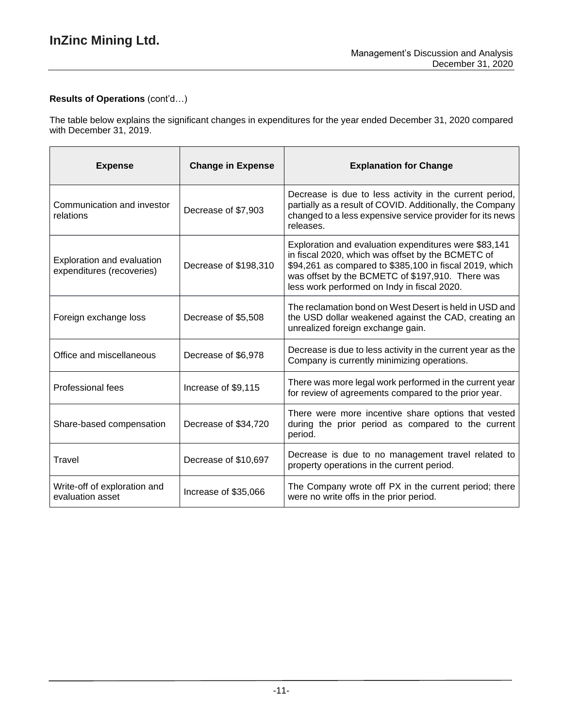# **Results of Operations** (cont'd…)

The table below explains the significant changes in expenditures for the year ended December 31, 2020 compared with December 31, 2019.

| <b>Expense</b>                                          | <b>Change in Expense</b> | <b>Explanation for Change</b>                                                                                                                                                                                                                                            |
|---------------------------------------------------------|--------------------------|--------------------------------------------------------------------------------------------------------------------------------------------------------------------------------------------------------------------------------------------------------------------------|
| Communication and investor<br>relations                 | Decrease of \$7,903      | Decrease is due to less activity in the current period,<br>partially as a result of COVID. Additionally, the Company<br>changed to a less expensive service provider for its news<br>releases.                                                                           |
| Exploration and evaluation<br>expenditures (recoveries) | Decrease of \$198,310    | Exploration and evaluation expenditures were \$83,141<br>in fiscal 2020, which was offset by the BCMETC of<br>\$94,261 as compared to \$385,100 in fiscal 2019, which<br>was offset by the BCMETC of \$197,910. There was<br>less work performed on Indy in fiscal 2020. |
| Foreign exchange loss                                   | Decrease of \$5,508      | The reclamation bond on West Desert is held in USD and<br>the USD dollar weakened against the CAD, creating an<br>unrealized foreign exchange gain.                                                                                                                      |
| Office and miscellaneous                                | Decrease of \$6,978      | Decrease is due to less activity in the current year as the<br>Company is currently minimizing operations.                                                                                                                                                               |
| Professional fees                                       | Increase of \$9,115      | There was more legal work performed in the current year<br>for review of agreements compared to the prior year.                                                                                                                                                          |
| Share-based compensation                                | Decrease of \$34,720     | There were more incentive share options that vested<br>during the prior period as compared to the current<br>period.                                                                                                                                                     |
| Travel                                                  | Decrease of \$10,697     | Decrease is due to no management travel related to<br>property operations in the current period.                                                                                                                                                                         |
| Write-off of exploration and<br>evaluation asset        | Increase of \$35,066     | The Company wrote off PX in the current period; there<br>were no write offs in the prior period.                                                                                                                                                                         |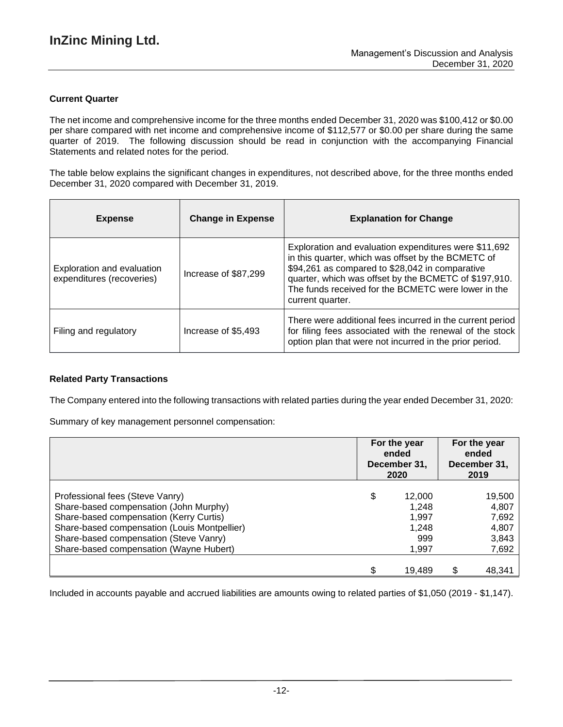### **Current Quarter**

The net income and comprehensive income for the three months ended December 31, 2020 was \$100,412 or \$0.00 per share compared with net income and comprehensive income of \$112,577 or \$0.00 per share during the same quarter of 2019. The following discussion should be read in conjunction with the accompanying Financial Statements and related notes for the period.

The table below explains the significant changes in expenditures, not described above, for the three months ended December 31, 2020 compared with December 31, 2019.

| <b>Expense</b>                                          | <b>Change in Expense</b> | <b>Explanation for Change</b>                                                                                                                                                                                                                                                                      |
|---------------------------------------------------------|--------------------------|----------------------------------------------------------------------------------------------------------------------------------------------------------------------------------------------------------------------------------------------------------------------------------------------------|
| Exploration and evaluation<br>expenditures (recoveries) | Increase of \$87,299     | Exploration and evaluation expenditures were \$11,692<br>in this quarter, which was offset by the BCMETC of<br>\$94,261 as compared to \$28,042 in comparative<br>quarter, which was offset by the BCMETC of \$197,910.<br>The funds received for the BCMETC were lower in the<br>current quarter. |
| Filing and regulatory                                   | Increase of \$5,493      | There were additional fees incurred in the current period<br>for filing fees associated with the renewal of the stock<br>option plan that were not incurred in the prior period.                                                                                                                   |

### **Related Party Transactions**

The Company entered into the following transactions with related parties during the year ended December 31, 2020:

Summary of key management personnel compensation:

|                                                                                                                                                                                                                                                           | For the year<br>ended<br>December 31,<br>2020           | For the year<br>ended<br>December 31,<br>2019 |                                                     |  |
|-----------------------------------------------------------------------------------------------------------------------------------------------------------------------------------------------------------------------------------------------------------|---------------------------------------------------------|-----------------------------------------------|-----------------------------------------------------|--|
| Professional fees (Steve Vanry)<br>Share-based compensation (John Murphy)<br>Share-based compensation (Kerry Curtis)<br>Share-based compensation (Louis Montpellier)<br>Share-based compensation (Steve Vanry)<br>Share-based compensation (Wayne Hubert) | \$<br>12,000<br>1,248<br>1,997<br>1,248<br>999<br>1,997 |                                               | 19,500<br>4,807<br>7,692<br>4,807<br>3,843<br>7,692 |  |
|                                                                                                                                                                                                                                                           | 19,489                                                  | \$                                            | 48,341                                              |  |

Included in accounts payable and accrued liabilities are amounts owing to related parties of \$1,050 (2019 - \$1,147).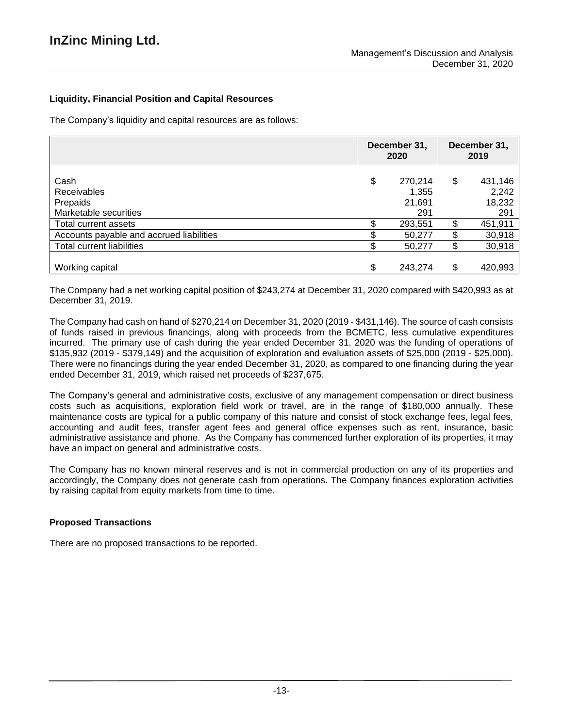### **Liquidity, Financial Position and Capital Resources**

The Company's liquidity and capital resources are as follows:

|                                                                 | December 31,<br>2020 |                                   | December 31,<br>2019 |                                   |
|-----------------------------------------------------------------|----------------------|-----------------------------------|----------------------|-----------------------------------|
| Cash<br><b>Receivables</b><br>Prepaids<br>Marketable securities | \$                   | 270,214<br>1,355<br>21,691<br>291 | \$                   | 431,146<br>2,242<br>18,232<br>291 |
| Total current assets                                            |                      | 293,551                           | \$                   | 451,911                           |
| Accounts payable and accrued liabilities                        |                      | 50,277                            | \$                   | 30,918                            |
| <b>Total current liabilities</b>                                |                      | 50,277                            | \$                   | 30,918                            |
| Working capital                                                 |                      | 243,274                           | \$                   | 420,993                           |

The Company had a net working capital position of \$243,274 at December 31, 2020 compared with \$420,993 as at December 31, 2019.

The Company had cash on hand of \$270,214 on December 31, 2020 (2019 - \$431,146). The source of cash consists of funds raised in previous financings, along with proceeds from the BCMETC, less cumulative expenditures incurred. The primary use of cash during the year ended December 31, 2020 was the funding of operations of \$135,932 (2019 - \$379,149) and the acquisition of exploration and evaluation assets of \$25,000 (2019 - \$25,000). There were no financings during the year ended December 31, 2020, as compared to one financing during the year ended December 31, 2019, which raised net proceeds of \$237,675.

The Company's general and administrative costs, exclusive of any management compensation or direct business costs such as acquisitions, exploration field work or travel, are in the range of \$180,000 annually. These maintenance costs are typical for a public company of this nature and consist of stock exchange fees, legal fees, accounting and audit fees, transfer agent fees and general office expenses such as rent, insurance, basic administrative assistance and phone. As the Company has commenced further exploration of its properties, it may have an impact on general and administrative costs.

The Company has no known mineral reserves and is not in commercial production on any of its properties and accordingly, the Company does not generate cash from operations. The Company finances exploration activities by raising capital from equity markets from time to time.

### **Proposed Transactions**

There are no proposed transactions to be reported.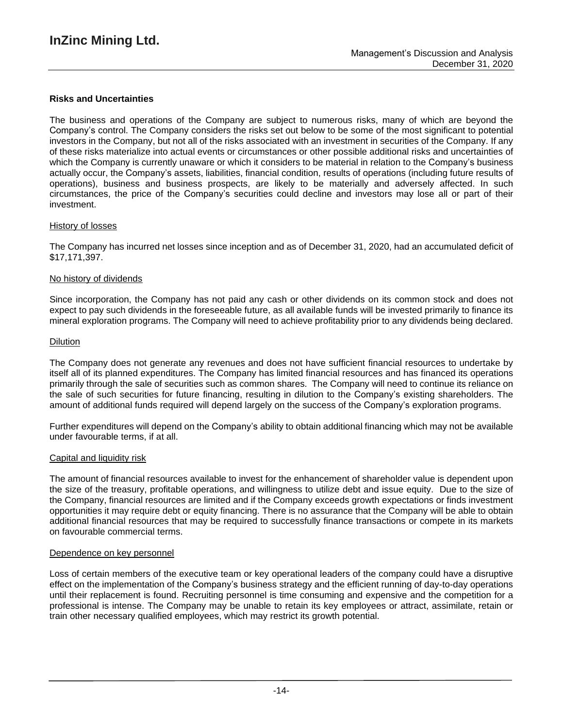### **Risks and Uncertainties**

The business and operations of the Company are subject to numerous risks, many of which are beyond the Company's control. The Company considers the risks set out below to be some of the most significant to potential investors in the Company, but not all of the risks associated with an investment in securities of the Company. If any of these risks materialize into actual events or circumstances or other possible additional risks and uncertainties of which the Company is currently unaware or which it considers to be material in relation to the Company's business actually occur, the Company's assets, liabilities, financial condition, results of operations (including future results of operations), business and business prospects, are likely to be materially and adversely affected. In such circumstances, the price of the Company's securities could decline and investors may lose all or part of their investment.

#### History of losses

The Company has incurred net losses since inception and as of December 31, 2020, had an accumulated deficit of \$17,171,397.

#### No history of dividends

Since incorporation, the Company has not paid any cash or other dividends on its common stock and does not expect to pay such dividends in the foreseeable future, as all available funds will be invested primarily to finance its mineral exploration programs. The Company will need to achieve profitability prior to any dividends being declared.

#### Dilution

The Company does not generate any revenues and does not have sufficient financial resources to undertake by itself all of its planned expenditures. The Company has limited financial resources and has financed its operations primarily through the sale of securities such as common shares. The Company will need to continue its reliance on the sale of such securities for future financing, resulting in dilution to the Company's existing shareholders. The amount of additional funds required will depend largely on the success of the Company's exploration programs.

Further expenditures will depend on the Company's ability to obtain additional financing which may not be available under favourable terms, if at all.

#### Capital and liquidity risk

The amount of financial resources available to invest for the enhancement of shareholder value is dependent upon the size of the treasury, profitable operations, and willingness to utilize debt and issue equity. Due to the size of the Company, financial resources are limited and if the Company exceeds growth expectations or finds investment opportunities it may require debt or equity financing. There is no assurance that the Company will be able to obtain additional financial resources that may be required to successfully finance transactions or compete in its markets on favourable commercial terms.

#### Dependence on key personnel

Loss of certain members of the executive team or key operational leaders of the company could have a disruptive effect on the implementation of the Company's business strategy and the efficient running of day-to-day operations until their replacement is found. Recruiting personnel is time consuming and expensive and the competition for a professional is intense. The Company may be unable to retain its key employees or attract, assimilate, retain or train other necessary qualified employees, which may restrict its growth potential.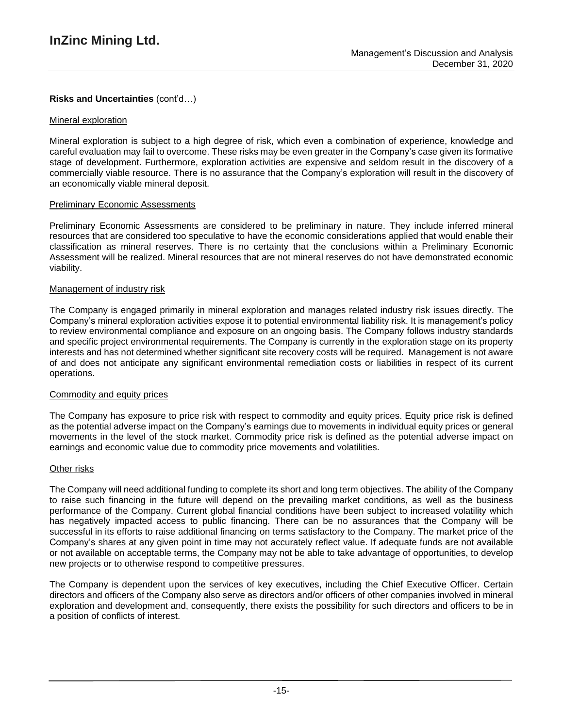### **Risks and Uncertainties** (cont'd…)

#### Mineral exploration

Mineral exploration is subject to a high degree of risk, which even a combination of experience, knowledge and careful evaluation may fail to overcome. These risks may be even greater in the Company's case given its formative stage of development. Furthermore, exploration activities are expensive and seldom result in the discovery of a commercially viable resource. There is no assurance that the Company's exploration will result in the discovery of an economically viable mineral deposit.

### Preliminary Economic Assessments

Preliminary Economic Assessments are considered to be preliminary in nature. They include inferred mineral resources that are considered too speculative to have the economic considerations applied that would enable their classification as mineral reserves. There is no certainty that the conclusions within a Preliminary Economic Assessment will be realized. Mineral resources that are not mineral reserves do not have demonstrated economic viability.

### Management of industry risk

The Company is engaged primarily in mineral exploration and manages related industry risk issues directly. The Company's mineral exploration activities expose it to potential environmental liability risk. It is management's policy to review environmental compliance and exposure on an ongoing basis. The Company follows industry standards and specific project environmental requirements. The Company is currently in the exploration stage on its property interests and has not determined whether significant site recovery costs will be required. Management is not aware of and does not anticipate any significant environmental remediation costs or liabilities in respect of its current operations.

#### Commodity and equity prices

The Company has exposure to price risk with respect to commodity and equity prices. Equity price risk is defined as the potential adverse impact on the Company's earnings due to movements in individual equity prices or general movements in the level of the stock market. Commodity price risk is defined as the potential adverse impact on earnings and economic value due to commodity price movements and volatilities.

#### Other risks

The Company will need additional funding to complete its short and long term objectives. The ability of the Company to raise such financing in the future will depend on the prevailing market conditions, as well as the business performance of the Company. Current global financial conditions have been subject to increased volatility which has negatively impacted access to public financing. There can be no assurances that the Company will be successful in its efforts to raise additional financing on terms satisfactory to the Company. The market price of the Company's shares at any given point in time may not accurately reflect value. If adequate funds are not available or not available on acceptable terms, the Company may not be able to take advantage of opportunities, to develop new projects or to otherwise respond to competitive pressures.

The Company is dependent upon the services of key executives, including the Chief Executive Officer. Certain directors and officers of the Company also serve as directors and/or officers of other companies involved in mineral exploration and development and, consequently, there exists the possibility for such directors and officers to be in a position of conflicts of interest.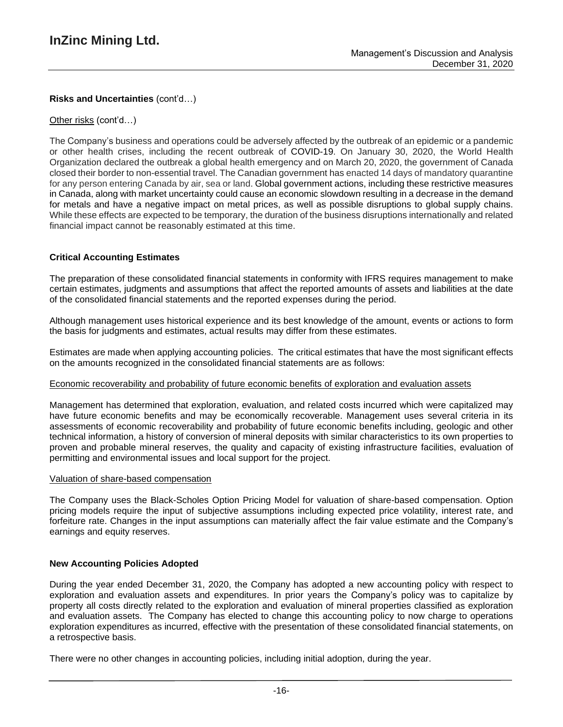### **Risks and Uncertainties** (cont'd…)

### Other risks (cont'd…)

The Company's business and operations could be adversely affected by the outbreak of an epidemic or a pandemic or other health crises, including the recent outbreak of COVID-19. On January 30, 2020, the World Health Organization declared the outbreak a global health emergency and on March 20, 2020, the government of Canada closed their border to non-essential travel. The Canadian government has enacted 14 days of mandatory quarantine for any person entering Canada by air, sea or land. Global government actions, including these restrictive measures in Canada, along with market uncertainty could cause an economic slowdown resulting in a decrease in the demand for metals and have a negative impact on metal prices, as well as possible disruptions to global supply chains. While these effects are expected to be temporary, the duration of the business disruptions internationally and related financial impact cannot be reasonably estimated at this time.

### **Critical Accounting Estimates**

The preparation of these consolidated financial statements in conformity with IFRS requires management to make certain estimates, judgments and assumptions that affect the reported amounts of assets and liabilities at the date of the consolidated financial statements and the reported expenses during the period.

Although management uses historical experience and its best knowledge of the amount, events or actions to form the basis for judgments and estimates, actual results may differ from these estimates.

Estimates are made when applying accounting policies. The critical estimates that have the most significant effects on the amounts recognized in the consolidated financial statements are as follows:

#### Economic recoverability and probability of future economic benefits of exploration and evaluation assets

Management has determined that exploration, evaluation, and related costs incurred which were capitalized may have future economic benefits and may be economically recoverable. Management uses several criteria in its assessments of economic recoverability and probability of future economic benefits including, geologic and other technical information, a history of conversion of mineral deposits with similar characteristics to its own properties to proven and probable mineral reserves, the quality and capacity of existing infrastructure facilities, evaluation of permitting and environmental issues and local support for the project.

#### Valuation of share-based compensation

The Company uses the Black-Scholes Option Pricing Model for valuation of share-based compensation. Option pricing models require the input of subjective assumptions including expected price volatility, interest rate, and forfeiture rate. Changes in the input assumptions can materially affect the fair value estimate and the Company's earnings and equity reserves.

#### **New Accounting Policies Adopted**

During the year ended December 31, 2020, the Company has adopted a new accounting policy with respect to exploration and evaluation assets and expenditures. In prior years the Company's policy was to capitalize by property all costs directly related to the exploration and evaluation of mineral properties classified as exploration and evaluation assets. The Company has elected to change this accounting policy to now charge to operations exploration expenditures as incurred, effective with the presentation of these consolidated financial statements, on a retrospective basis.

There were no other changes in accounting policies, including initial adoption, during the year.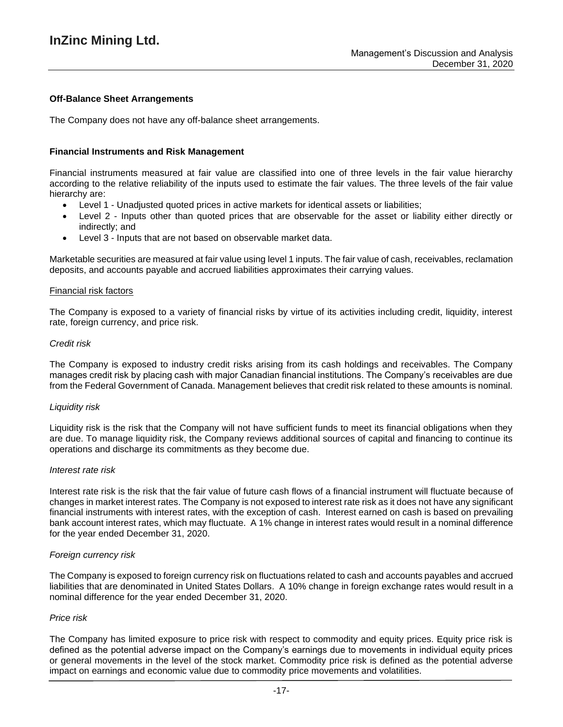### **Off-Balance Sheet Arrangements**

The Company does not have any off-balance sheet arrangements.

### **Financial Instruments and Risk Management**

Financial instruments measured at fair value are classified into one of three levels in the fair value hierarchy according to the relative reliability of the inputs used to estimate the fair values. The three levels of the fair value hierarchy are:

- Level 1 Unadjusted quoted prices in active markets for identical assets or liabilities;
- Level 2 Inputs other than quoted prices that are observable for the asset or liability either directly or indirectly; and
- Level 3 Inputs that are not based on observable market data.

Marketable securities are measured at fair value using level 1 inputs. The fair value of cash, receivables, reclamation deposits, and accounts payable and accrued liabilities approximates their carrying values.

#### Financial risk factors

The Company is exposed to a variety of financial risks by virtue of its activities including credit, liquidity, interest rate, foreign currency, and price risk.

#### *Credit risk*

The Company is exposed to industry credit risks arising from its cash holdings and receivables. The Company manages credit risk by placing cash with major Canadian financial institutions. The Company's receivables are due from the Federal Government of Canada. Management believes that credit risk related to these amounts is nominal.

#### *Liquidity risk*

Liquidity risk is the risk that the Company will not have sufficient funds to meet its financial obligations when they are due. To manage liquidity risk, the Company reviews additional sources of capital and financing to continue its operations and discharge its commitments as they become due.

#### *Interest rate risk*

Interest rate risk is the risk that the fair value of future cash flows of a financial instrument will fluctuate because of changes in market interest rates. The Company is not exposed to interest rate risk as it does not have any significant financial instruments with interest rates, with the exception of cash. Interest earned on cash is based on prevailing bank account interest rates, which may fluctuate. A 1% change in interest rates would result in a nominal difference for the year ended December 31, 2020.

#### *Foreign currency risk*

The Company is exposed to foreign currency risk on fluctuations related to cash and accounts payables and accrued liabilities that are denominated in United States Dollars. A 10% change in foreign exchange rates would result in a nominal difference for the year ended December 31, 2020.

#### *Price risk*

The Company has limited exposure to price risk with respect to commodity and equity prices. Equity price risk is defined as the potential adverse impact on the Company's earnings due to movements in individual equity prices or general movements in the level of the stock market. Commodity price risk is defined as the potential adverse impact on earnings and economic value due to commodity price movements and volatilities.